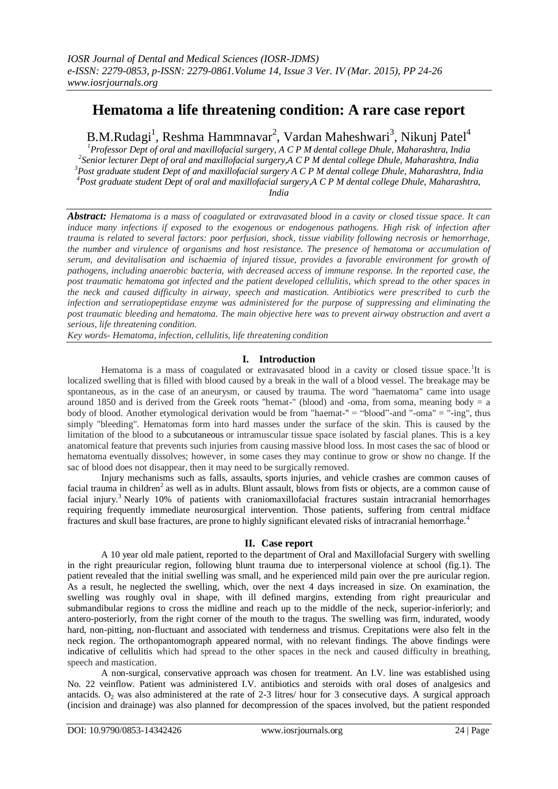# **Hematoma a life threatening condition: A rare case report**

B.M.Rudagi<sup>1</sup>, Reshma Hammnavar<sup>2</sup>, Vardan Maheshwari<sup>3</sup>, Nikunj Patel<sup>4</sup>

*Professor Dept of oral and maxillofacial surgery, A C P M dental college Dhule, Maharashtra, India Senior lecturer Dept of oral and maxillofacial surgery,A C P M dental college Dhule, Maharashtra, India Post graduate student Dept of and maxillofacial surgery A C P M dental college Dhule, Maharashtra, India Post graduate student Dept of oral and maxillofacial surgery,A C P M dental college Dhule, Maharashtra, India*

*Abstract: Hematoma is a mass of coagulated or extravasated blood in a cavity or closed tissue space. It can induce many infections if exposed to the exogenous or endogenous pathogens. High risk of infection after trauma is related to several factors: poor perfusion, shock, tissue viability following necrosis or hemorrhage, the number and virulence of organisms and host resistance. The presence of hematoma or accumulation of serum, and devitalisation and ischaemia of injured tissue, provides a favorable environment for growth of pathogens, including anaerobic bacteria, with decreased access of immune response. In the reported case, the post traumatic hematoma got infected and the patient developed cellulitis, which spread to the other spaces in the neck and caused difficulty in airway, speech and mastication. Antibiotics were prescribed to curb the infection and serratiopeptidase enzyme was administered for the purpose of suppressing and eliminating the post traumatic bleeding and hematoma. The main objective here was to prevent airway obstruction and avert a serious, life threatening condition.*

*Key words- Hematoma, infection, cellulitis, life threatening condition*

## **I. Introduction**

Hematoma is a mass of coagulated or extravasated blood in a cavity or closed tissue space.<sup>1</sup>It is localized swelling that is filled with blood caused by a break in the wall of a blood vessel. The breakage may be spontaneous, as in the case of an aneurysm, or caused by trauma. The word "haematoma" came into usage around 1850 and is derived from the Greek roots "hemat-" (blood) and -oma, from soma, meaning body  $=$  a body of blood. Another etymological derivation would be from "haemat-" = "blood"-and "-oma" = "-ing", thus simply "bleeding". Hematomas form into hard masses under the surface of the skin. This is caused by the limitation of the blood to a [subcutaneous](http://en.wikipedia.org/wiki/Subcutaneous) or intramuscular tissue space isolated by fascial planes. This is a key anatomical feature that prevents such injuries from causing massive blood loss. In most cases the sac of blood or hematoma eventually dissolves; however, in some cases they may continue to grow or show no change. If the sac of blood does not disappear, then it may need to be surgically removed.

Injury mechanisms such as falls, assaults, sports injuries, and vehicle crashes are common causes of facial trauma in children<sup>2</sup> as well as in adults. Blunt assault, blows from fists or objects, are a common cause of facial injury.<sup>3</sup> Nearly 10% of patients with craniomaxillofacial fractures sustain intracranial hemorrhages requiring frequently immediate neurosurgical intervention. Those patients, suffering from central midface fractures and skull base fractures, are prone to highly significant elevated risks of intracranial hemorrhage.<sup>4</sup>

## **II. Case report**

A 10 year old male patient, reported to the department of Oral and Maxillofacial Surgery with swelling in the right preauricular region, following blunt trauma due to interpersonal violence at school (fig.1). The patient revealed that the initial swelling was small, and he experienced mild pain over the pre auricular region. As a result, he neglected the swelling, which, over the next 4 days increased in size. On examination, the swelling was roughly oval in shape, with ill defined margins, extending from right preauricular and submandibular regions to cross the midline and reach up to the middle of the neck, superior-inferiorly; and antero-posteriorly, from the right corner of the mouth to the tragus. The swelling was firm, indurated, woody hard, non-pitting, non-fluctuant and associated with tenderness and trismus. Crepitations were also felt in the neck region. The orthopantomograph appeared normal, with no relevant findings. The above findings were indicative of cellulitis which had spread to the other spaces in the neck and caused difficulty in breathing, speech and mastication.

A non-surgical, conservative approach was chosen for treatment. An I.V. line was established using No. 22 veinflow. Patient was administered I.V. antibiotics and steroids with oral doses of analgesics and antacids.  $O<sub>2</sub>$  was also administered at the rate of 2-3 litres/ hour for 3 consecutive days. A surgical approach (incision and drainage) was also planned for decompression of the spaces involved, but the patient responded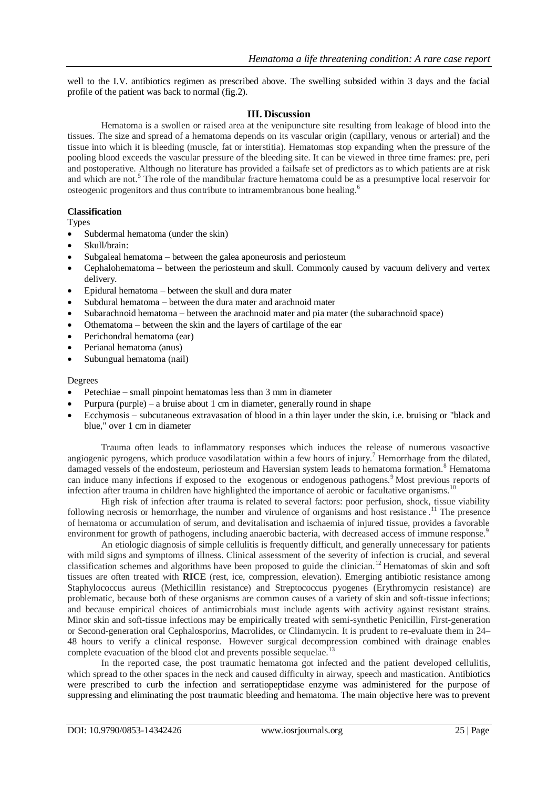well to the I.V. antibiotics regimen as prescribed above. The swelling subsided within 3 days and the facial profile of the patient was back to normal (fig.2).

### **III. Discussion**

Hematoma is a swollen or raised area at the venipuncture site resulting from leakage of blood into the tissues. The size and spread of a hematoma depends on its vascular origin (capillary, venous or arterial) and the tissue into which it is bleeding (muscle, fat or interstitia). Hematomas stop expanding when the pressure of the pooling blood exceeds the vascular pressure of the bleeding site. It can be viewed in three time frames: pre, peri and postoperative. Although no literature has provided a failsafe set of predictors as to which patients are at risk and which are not.<sup>5</sup> The role of the mandibular fracture hematoma could be as a presumptive local reservoir for osteogenic progenitors and thus contribute to intramembranous bone healing.<sup>6</sup>

#### **Classification**

Types

- Subdermal hematoma (under the [skin\)](http://en.wikipedia.org/wiki/Skin)
- Skull/brain:
- [Subgaleal hematoma](http://en.wikipedia.org/wiki/Subgaleal_hematoma) between the [galea aponeurosis](http://en.wikipedia.org/wiki/Galea_aponeurosis) and [periosteum](http://en.wikipedia.org/wiki/Periosteum)
- [Cephalohematoma](http://en.wikipedia.org/wiki/Cephalohematoma) between the [periosteum](http://en.wikipedia.org/wiki/Periosteum) and [skull.](http://en.wikipedia.org/wiki/Skull) Commonly caused by vacuum delivery and vertex delivery.
- [Epidural hematoma](http://en.wikipedia.org/wiki/Epidural_hematoma) between the [skull](http://en.wikipedia.org/wiki/Skull) and [dura mater](http://en.wikipedia.org/wiki/Dura_mater)
- [Subdural hematoma](http://en.wikipedia.org/wiki/Subdural_hematoma) between the [dura mater](http://en.wikipedia.org/wiki/Dura_mater) and [arachnoid mater](http://en.wikipedia.org/wiki/Arachnoid_mater)
- [Subarachnoid hematoma](http://en.wikipedia.org/wiki/Subarachnoid_hematoma) between the [arachnoid](http://en.wikipedia.org/wiki/Arachnoid_mater) mater and [pia mater](http://en.wikipedia.org/wiki/Pia_mater) (the [subarachnoid space\)](http://en.wikipedia.org/wiki/Subarachnoid_space)
- [Othematoma](http://en.wikipedia.org/w/index.php?title=Othematoma&action=edit&redlink=1) between the skin and the layers of cartilage of the ear
- [Perichondral hematoma](http://en.wikipedia.org/wiki/Cauliflower_ear) [\(ear\)](http://en.wikipedia.org/wiki/Ear)
- [Perianal hematoma](http://en.wikipedia.org/wiki/Perianal_hematoma) [\(anus\)](http://en.wikipedia.org/wiki/Anus)
- [Subungual hematoma](http://en.wikipedia.org/wiki/Subungual_hematoma) (nail)

#### Degrees

- [Petechiae](http://en.wikipedia.org/wiki/Petechiae) small pinpoint hematomas less than 3 mm in diameter
- [Purpura](http://en.wikipedia.org/wiki/Purpura) (purple) a bruise about 1 cm in diameter, generally round in shape
- [Ecchymosis](http://en.wikipedia.org/wiki/Ecchymosis) subcutaneous extravasation of blood in a thin layer under the skin, i.e. bruising or "black and blue," over 1 cm in diameter

Trauma often leads to inflammatory responses which induces the release of numerous vasoactive angiogenic pyrogens, which produce vasodilatation within a few hours of injury.<sup>7</sup> Hemorrhage from the dilated, damaged vessels of the endosteum, periosteum and Haversian system leads to hematoma formation.<sup>8</sup> Hematoma can induce many infections if exposed to the exogenous or endogenous pathogens.<sup>9</sup> Most previous reports of infection after trauma in children have highlighted the importance of aerobic or facultative organisms.<sup>10</sup>

High risk of infection after trauma is related to several factors: poor perfusion, shock, tissue viability following necrosis or hemorrhage, the number and virulence of organisms and host resistance.<sup>11</sup> The presence of hematoma or accumulation of serum, and devitalisation and ischaemia of injured tissue, provides a favorable environment for growth of pathogens, including anaerobic bacteria, with decreased access of immune response.<sup>9</sup>

An etiologic diagnosis of simple cellulitis is frequently difficult, and generally unnecessary for patients with mild signs and symptoms of illness. Clinical assessment of the severity of infection is crucial, and several classification schemes and algorithms have been proposed to guide the clinician.<sup>12</sup> Hematomas of skin and soft tissues are often treated with **RICE** (rest, ice, compression, elevation). Emerging antibiotic resistance among Staphylococcus aureus (Methicillin resistance) and Streptococcus pyogenes (Erythromycin resistance) are problematic, because both of these organisms are common causes of a variety of skin and soft-tissue infections; and because empirical choices of antimicrobials must include agents with activity against resistant strains. Minor skin and soft-tissue infections may be empirically treated with semi-synthetic Penicillin, First-generation or Second-generation oral Cephalosporins, Macrolides, or Clindamycin. It is prudent to re-evaluate them in 24– 48 hours to verify a clinical response. However surgical decompression combined with drainage enables complete evacuation of the blood clot and prevents possible sequelae.<sup>13</sup>

In the reported case, the post traumatic hematoma got infected and the patient developed cellulitis, which spread to the other spaces in the neck and caused difficulty in airway, speech and mastication. Antibiotics were prescribed to curb the infection and serratiopeptidase enzyme was administered for the purpose of suppressing and eliminating the post traumatic bleeding and hematoma. The main objective here was to prevent